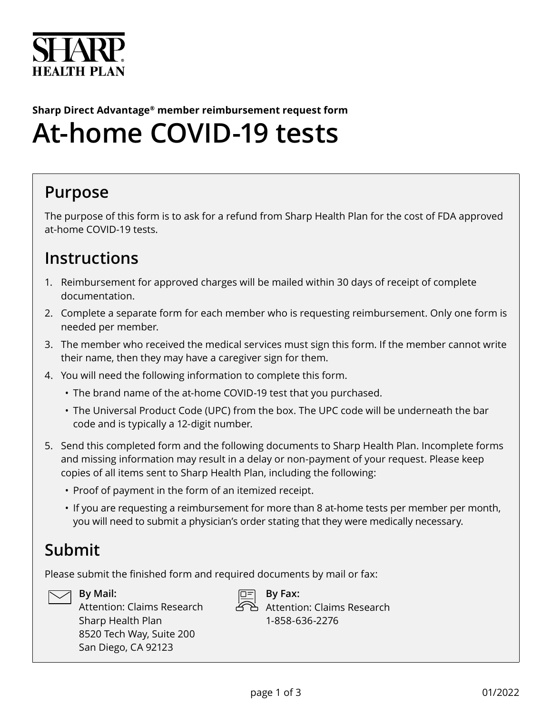

# **Sharp Direct Advantage® member reimbursement request form At-home COVID-19 tests**

## **Purpose**

The purpose of this form is to ask for a refund from Sharp Health Plan for the cost of FDA approved at-home COVID-19 tests.

### **Instructions**

- 1. Reimbursement for approved charges will be mailed within 30 days of receipt of complete documentation.
- 2. Complete a separate form for each member who is requesting reimbursement. Only one form is needed per member.
- 3. The member who received the medical services must sign this form. If the member cannot write their name, then they may have a caregiver sign for them.
- 4. You will need the following information to complete this form.
	- The brand name of the at-home COVID-19 test that you purchased.
	- The Universal Product Code (UPC) from the box. The UPC code will be underneath the bar code and is typically a 12-digit number.
- 5. Send this completed form and the following documents to Sharp Health Plan. Incomplete forms and missing information may result in a delay or non-payment of your request. Please keep copies of all items sent to Sharp Health Plan, including the following:
	- Proof of payment in the form of an itemized receipt.
	- If you are requesting a reimbursement for more than 8 at-home tests per member per month, you will need to submit a physician's order stating that they were medically necessary.

## **Submit**

Please submit the finished form and required documents by mail or fax:



### **By Mail:**

Attention: Claims Research Sharp Health Plan 8520 Tech Way, Suite 200 San Diego, CA 92123



 **By Fax:** Attention: Claims Research 1-858-636-2276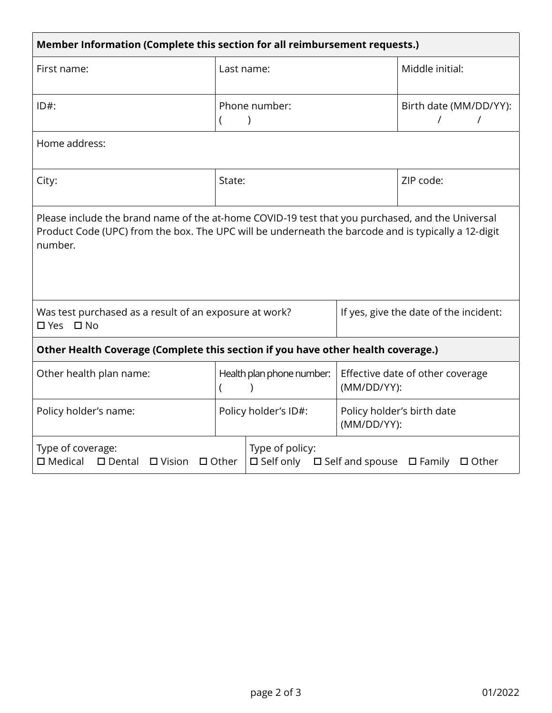| Member Information (Complete this section for all reimbursement requests.)                                                                                                                                         |                                        |                                                                                          |                                                 |  |  |
|--------------------------------------------------------------------------------------------------------------------------------------------------------------------------------------------------------------------|----------------------------------------|------------------------------------------------------------------------------------------|-------------------------------------------------|--|--|
| First name:                                                                                                                                                                                                        | Last name:                             |                                                                                          | Middle initial:                                 |  |  |
| $ID#$ :                                                                                                                                                                                                            | Phone number:                          |                                                                                          | Birth date (MM/DD/YY):<br>$\prime$<br>$\prime$  |  |  |
| Home address:                                                                                                                                                                                                      |                                        |                                                                                          |                                                 |  |  |
| City:                                                                                                                                                                                                              | State:                                 |                                                                                          | ZIP code:                                       |  |  |
| Please include the brand name of the at-home COVID-19 test that you purchased, and the Universal<br>Product Code (UPC) from the box. The UPC will be underneath the barcode and is typically a 12-digit<br>number. |                                        |                                                                                          |                                                 |  |  |
| Was test purchased as a result of an exposure at work?<br>□ Yes □ No                                                                                                                                               |                                        | If yes, give the date of the incident:                                                   |                                                 |  |  |
| Other Health Coverage (Complete this section if you have other health coverage.)                                                                                                                                   |                                        |                                                                                          |                                                 |  |  |
| Other health plan name:                                                                                                                                                                                            | Health plan phone number:<br>$\lambda$ |                                                                                          | Effective date of other coverage<br>(MM/DD/YY): |  |  |
| Policy holder's name:                                                                                                                                                                                              | Policy holder's ID#:                   |                                                                                          | Policy holder's birth date<br>(MM/DD/YY):       |  |  |
| Type of coverage:<br>$\square$ Medical<br>$\square$ Dental<br>$\Box$ Vision<br>$\Box$ Other                                                                                                                        |                                        | Type of policy:<br>$\Box$ Self only $\Box$ Self and spouse $\Box$ Family<br>$\Box$ Other |                                                 |  |  |